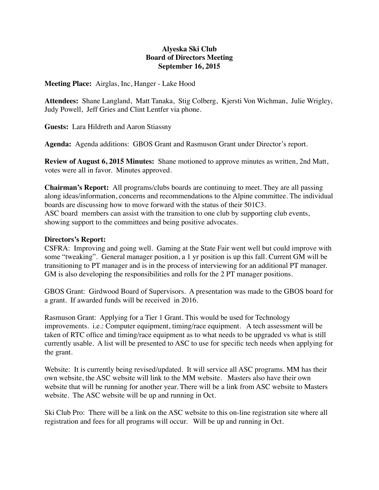## **Alyeska Ski Club Board of Directors Meeting September 16, 2015**

**Meeting Place:** Airglas, Inc, Hanger - Lake Hood

**Attendees:** Shane Langland, Matt Tanaka, Stig Colberg, Kjersti Von Wichman, Julie Wrigley, Judy Powell, Jeff Gries and Clint Lentfer via phone.

**Guests:** Lara Hildreth and Aaron Stiassny

**Agenda:** Agenda additions: GBOS Grant and Rasmuson Grant under Director's report.

**Review of August 6, 2015 Minutes:** Shane motioned to approve minutes as written, 2nd Matt, votes were all in favor. Minutes approved.

**Chairman's Report:** All programs/clubs boards are continuing to meet. They are all passing along ideas/information, concerns and recommendations to the Alpine committee. The individual boards are discussing how to move forward with the status of their 501C3. ASC board members can assist with the transition to one club by supporting club events, showing support to the committees and being positive advocates.

# **Directors's Report:**

CSFRA: Improving and going well. Gaming at the State Fair went well but could improve with some "tweaking". General manager position, a 1 yr position is up this fall. Current GM will be transitioning to PT manager and is in the process of interviewing for an additional PT manager. GM is also developing the responsibilities and rolls for the 2 PT manager positions.

GBOS Grant: Girdwood Board of Supervisors. A presentation was made to the GBOS board for a grant. If awarded funds will be received in 2016.

Rasmuson Grant: Applying for a Tier 1 Grant. This would be used for Technology improvements. i.e.: Computer equipment, timing/race equipment. A tech assessment will be taken of RTC office and timing/race equipment as to what needs to be upgraded vs what is still currently usable. A list will be presented to ASC to use for specific tech needs when applying for the grant.

Website: It is currently being revised/updated. It will service all ASC programs. MM has their own website, the ASC website will link to the MM website. Masters also have their own website that will be running for another year. There will be a link from ASC website to Masters website. The ASC website will be up and running in Oct.

Ski Club Pro: There will be a link on the ASC website to this on-line registration site where all registration and fees for all programs will occur. Will be up and running in Oct.